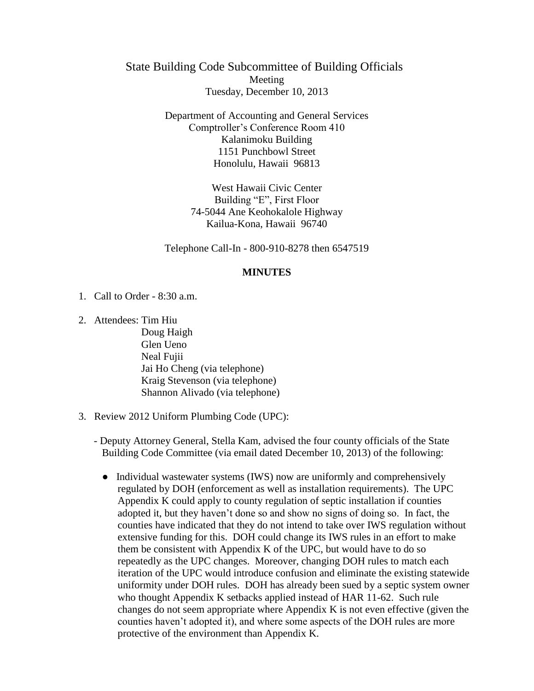State Building Code Subcommittee of Building Officials Meeting Tuesday, December 10, 2013

> Department of Accounting and General Services Comptroller's Conference Room 410 Kalanimoku Building 1151 Punchbowl Street Honolulu, Hawaii 96813

> > West Hawaii Civic Center Building "E", First Floor 74-5044 Ane Keohokalole Highway Kailua-Kona, Hawaii 96740

Telephone Call-In - 800-910-8278 then 6547519

## **MINUTES**

- 1. Call to Order 8:30 a.m.
- 2. Attendees: Tim Hiu

Doug Haigh Glen Ueno Neal Fujii Jai Ho Cheng (via telephone) Kraig Stevenson (via telephone) Shannon Alivado (via telephone)

- 3. Review 2012 Uniform Plumbing Code (UPC):
	- Deputy Attorney General, Stella Kam, advised the four county officials of the State Building Code Committee (via email dated December 10, 2013) of the following:
		- Individual wastewater systems (IWS) now are uniformly and comprehensively regulated by DOH (enforcement as well as installation requirements). The UPC Appendix K could apply to county regulation of septic installation if counties adopted it, but they haven't done so and show no signs of doing so. In fact, the counties have indicated that they do not intend to take over IWS regulation without extensive funding for this. DOH could change its IWS rules in an effort to make them be consistent with Appendix K of the UPC, but would have to do so repeatedly as the UPC changes. Moreover, changing DOH rules to match each iteration of the UPC would introduce confusion and eliminate the existing statewide uniformity under DOH rules. DOH has already been sued by a septic system owner who thought Appendix K setbacks applied instead of HAR 11-62. Such rule changes do not seem appropriate where Appendix K is not even effective (given the counties haven't adopted it), and where some aspects of the DOH rules are more protective of the environment than Appendix K.